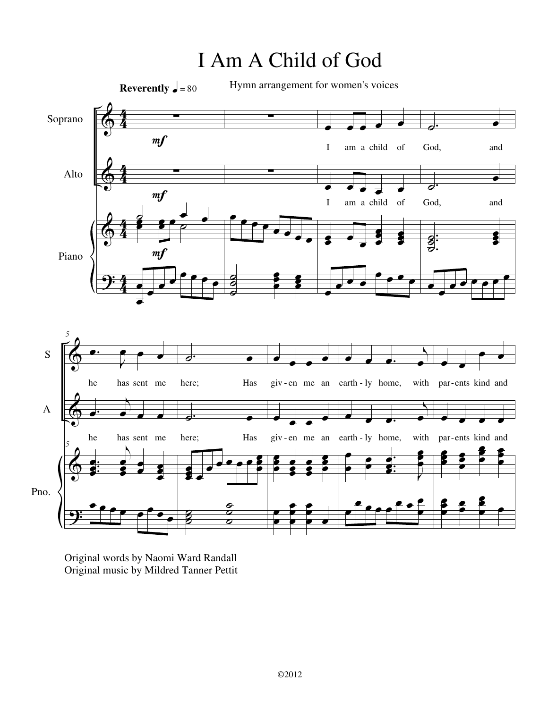## I Am A Child of God



Original words by Naomi Ward Randall Original music by Mildred Tanner Pettit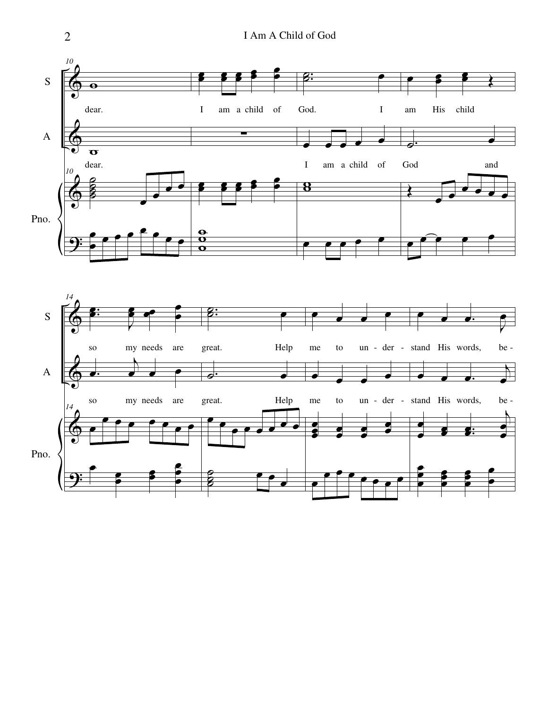

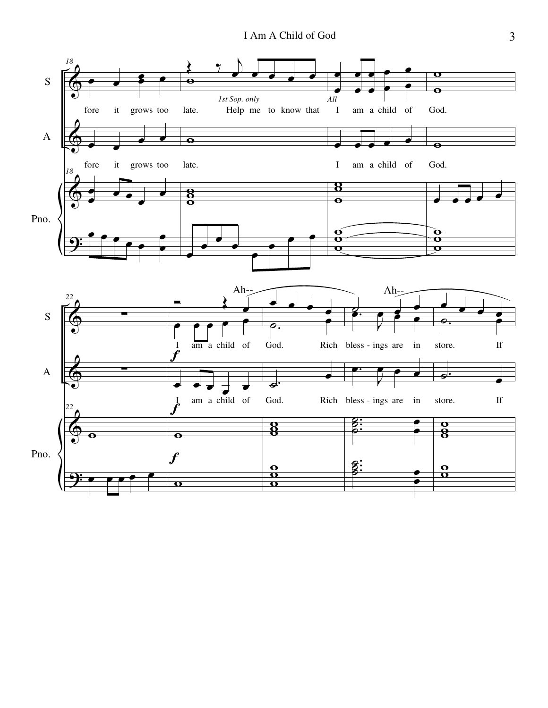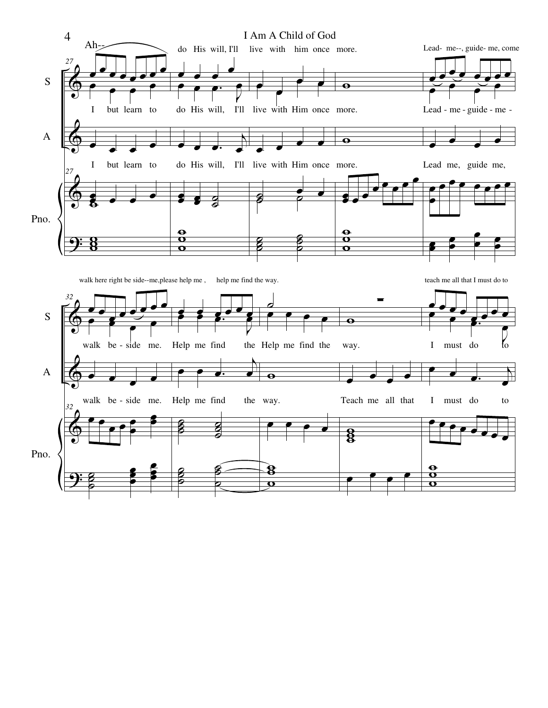